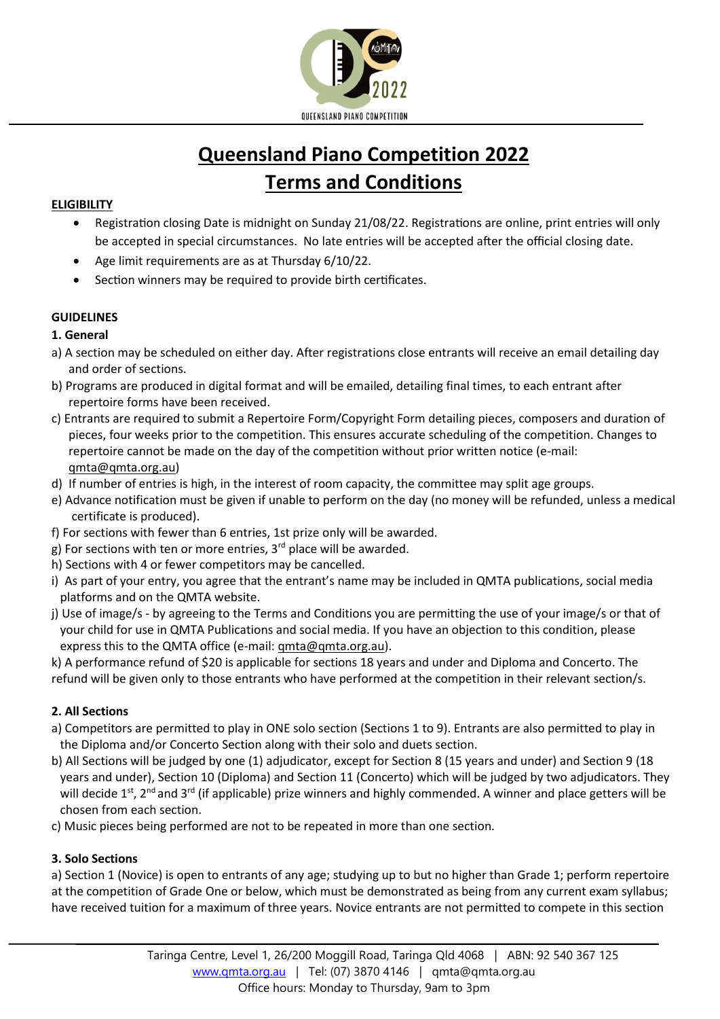

# **Queensland Piano Competition 2022 Terms and Conditions**

### **ELIGIBILITY**

- Registration closing Date is midnight on Sunday 21/08/22. Registrations are online, print entries will only be accepted in special circumstances. No late entries will be accepted after the official closing date.
- Age limit requirements are as at Thursday 6/10/22.
- Section winners may be required to provide birth certificates.

# **GUIDELINES**

**1. General** 

- a) A section may be scheduled on either day. After registrations close entrants will receive an email detailing day and order of sections.
- b) Programs are produced in digital format and will be emailed, detailing final times, to each entrant after repertoire forms have been received.
- c) Entrants are required to submit a Repertoire Form/Copyright Form detailing pieces, composers and duration of pieces, four weeks prior to the competition. This ensures accurate scheduling of the competition. Changes to repertoire cannot be made on the day of the competition without prior written notice (e-mail: [qmta@qmta.org.au\)](mailto:qmta@qmta.org.au)
- d) If number of entries is high, in the interest of room capacity, the committee may split age groups.
- e) Advance notification must be given if unable to perform on the day (no money will be refunded, unless a medical certificate is produced).
- f) For sections with fewer than 6 entries, 1st prize only will be awarded.
- g) For sections with ten or more entries,  $3<sup>rd</sup>$  place will be awarded.
- h) Sections with 4 or fewer competitors may be cancelled.
- i) As part of your entry, you agree that the entrant's name may be included in QMTA publications, social media platforms and on the QMTA website.
- j) Use of image/s by agreeing to the Terms and Conditions you are permitting the use of your image/s or that of your child for use in QMTA Publications and social media. If you have an objection to this condition, please express this to the QMTA office (e-mail[: qmta@qmta.org.au\)](mailto:qmta@qmta.org.au).

k) A performance refund of \$20 is applicable for sections 18 years and under and Diploma and Concerto. The refund will be given only to those entrants who have performed at the competition in their relevant section/s.

# **2. All Sections**

- a) Competitors are permitted to play in ONE solo section (Sections 1 to 9). Entrants are also permitted to play in the Diploma and/or Concerto Section along with their solo and duets section.
- b) All Sections will be judged by one (1) adjudicator, except for Section 8 (15 years and under) and Section 9 (18 years and under), Section 10 (Diploma) and Section 11 (Concerto) which will be judged by two adjudicators. They will decide 1<sup>st</sup>, 2<sup>nd</sup> and 3<sup>rd</sup> (if applicable) prize winners and highly commended. A winner and place getters will be chosen from each section.
- c) Music pieces being performed are not to be repeated in more than one section.

# **3. Solo Sections**

a) Section 1 (Novice) is open to entrants of any age; studying up to but no higher than Grade 1; perform repertoire at the competition of Grade One or below, which must be demonstrated as being from any current exam syllabus; have received tuition for a maximum of three years. Novice entrants are not permitted to compete in this section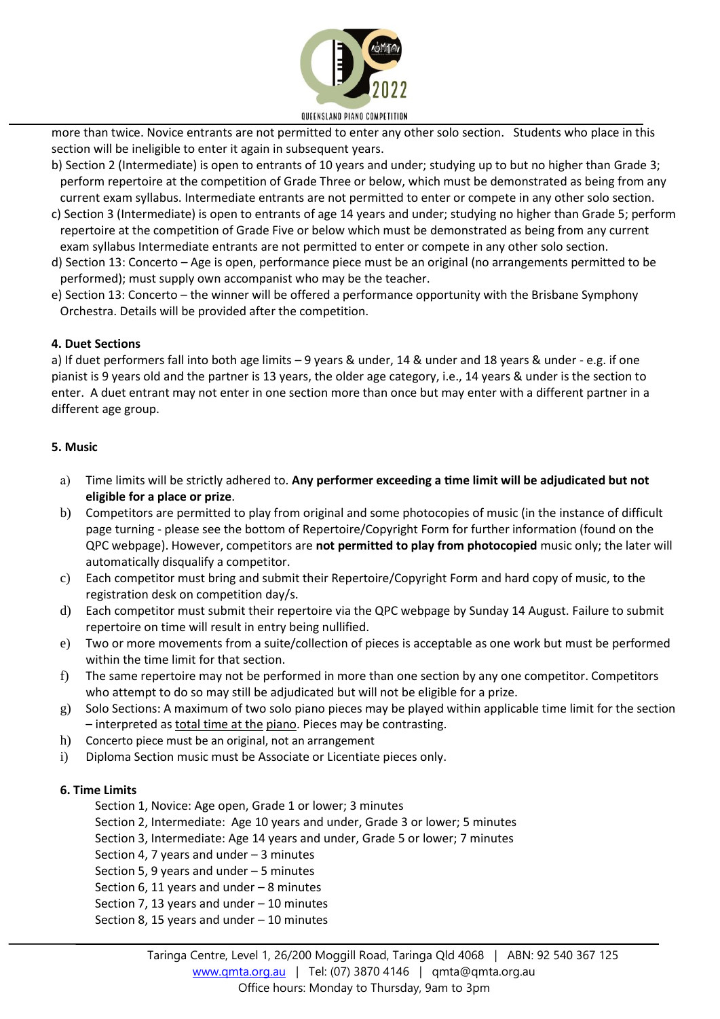

more than twice. Novice entrants are not permitted to enter any other solo section. Students who place in this section will be ineligible to enter it again in subsequent years.

- b) Section 2 (Intermediate) is open to entrants of 10 years and under; studying up to but no higher than Grade 3; perform repertoire at the competition of Grade Three or below, which must be demonstrated as being from any current exam syllabus. Intermediate entrants are not permitted to enter or compete in any other solo section.
- c) Section 3 (Intermediate) is open to entrants of age 14 years and under; studying no higher than Grade 5; perform repertoire at the competition of Grade Five or below which must be demonstrated as being from any current exam syllabus Intermediate entrants are not permitted to enter or compete in any other solo section.
- d) Section 13: Concerto Age is open, performance piece must be an original (no arrangements permitted to be performed); must supply own accompanist who may be the teacher.
- e) Section 13: Concerto the winner will be offered a performance opportunity with the Brisbane Symphony Orchestra. Details will be provided after the competition.

#### **4. Duet Sections**

a) If duet performers fall into both age limits – 9 years & under, 14 & under and 18 years & under - e.g. if one pianist is 9 years old and the partner is 13 years, the older age category, i.e., 14 years & under is the section to enter. A duet entrant may not enter in one section more than once but may enter with a different partner in a different age group.

#### **5. Music**

- a) Time limits will be strictly adhered to. **Any performer exceeding a time limit will be adjudicated but not eligible for a place or prize**.
- b) Competitors are permitted to play from original and some photocopies of music (in the instance of difficult page turning - please see the bottom of Repertoire/Copyright Form for further information (found on the QPC webpage). However, competitors are **not permitted to play from photocopied** music only; the later will automatically disqualify a competitor.
- c) Each competitor must bring and submit their Repertoire/Copyright Form and hard copy of music, to the registration desk on competition day/s.
- d) Each competitor must submit their repertoire via the QPC webpage by Sunday 14 August. Failure to submit repertoire on time will result in entry being nullified.
- e) Two or more movements from a suite/collection of pieces is acceptable as one work but must be performed within the time limit for that section.
- f) The same repertoire may not be performed in more than one section by any one competitor. Competitors who attempt to do so may still be adjudicated but will not be eligible for a prize.
- g) Solo Sections: A maximum of two solo piano pieces may be played within applicable time limit for the section – interpreted as total time at the piano. Pieces may be contrasting.
- h) Concerto piece must be an original, not an arrangement
- i) Diploma Section music must be Associate or Licentiate pieces only.

#### **6. Time Limits**

- Section 1, Novice: Age open, Grade 1 or lower; 3 minutes
- Section 2, Intermediate: Age 10 years and under, Grade 3 or lower; 5 minutes
- Section 3, Intermediate: Age 14 years and under, Grade 5 or lower; 7 minutes
- Section 4, 7 years and under 3 minutes
- Section 5, 9 years and under 5 minutes
- Section 6, 11 years and under 8 minutes
- Section 7, 13 years and under 10 minutes
- Section 8, 15 years and under 10 minutes